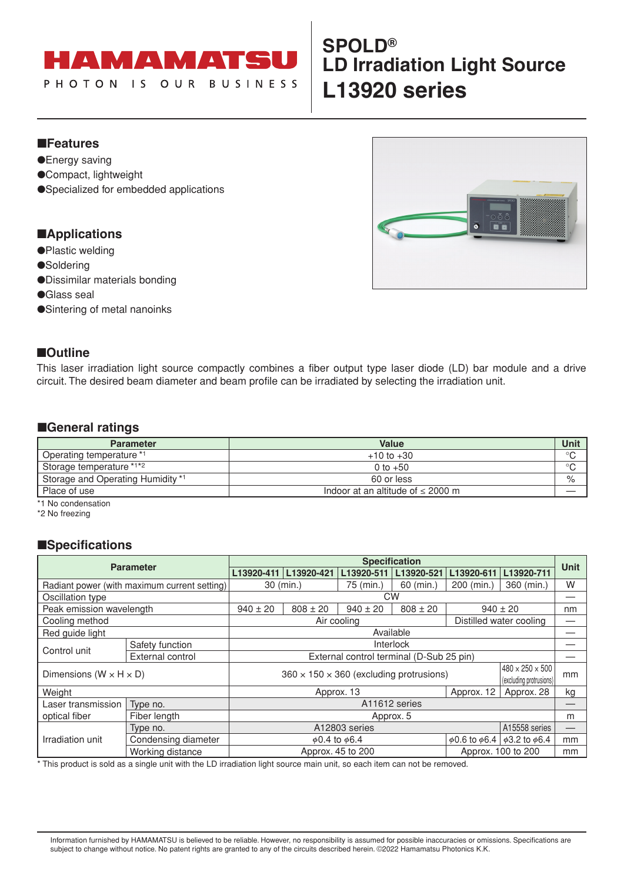

# **SPOLD® LD Irradiation Light Source L13920 series**

## ■**Features**

- ●Energy saving
- ●Compact, lightweight
- ●Specialized for embedded applications

### ■**Applications**

- ●Plastic welding
- ●Soldering
- ●Dissimilar materials bonding
- ●Glass seal
- ●Sintering of metal nanoinks

### ■**Outline**

This laser irradiation light source compactly combines a fiber output type laser diode (LD) bar module and a drive circuit. The desired beam diameter and beam profile can be irradiated by selecting the irradiation unit.

### ■**General ratings**

| <b>Parameter</b>                  | <b>Value</b>                           | <b>Unit</b> |
|-----------------------------------|----------------------------------------|-------------|
| Operating temperature *1          | $+10$ to $+30$                         | $\circ$     |
| Storage temperature *1*2          | 0 to $+50$                             | $\circ$     |
| Storage and Operating Humidity *1 | 60 or less                             | $\%$        |
| Place of use                      | Indoor at an altitude of $\leq$ 2000 m |             |

\*1 No condensation

\*2 No freezing

## ■**Specifications**

| <b>Parameter</b>                             |                                                                                             | <b>Specification</b>                     |                         |                          |               |                          | Unit                     |    |
|----------------------------------------------|---------------------------------------------------------------------------------------------|------------------------------------------|-------------------------|--------------------------|---------------|--------------------------|--------------------------|----|
|                                              |                                                                                             | L13920-411                               | L13920-421              | L13920-511               | L13920-521    | L13920-611               | L13920-711               |    |
| Radiant power (with maximum current setting) |                                                                                             |                                          | $30$ (min.)             | 75 (min.)                | $60$ (min.)   | 200 (min.)               | 360 (min.)               | W  |
| Oscillation type                             |                                                                                             | <b>CW</b>                                |                         |                          |               |                          |                          |    |
| Peak emission wavelength                     |                                                                                             | $940 \pm 20$                             | $808 \pm 20$            | $940 \pm 20$             | $808 \pm 20$  | $940 \pm 20$             |                          | nm |
| Cooling method                               |                                                                                             | Distilled water cooling<br>Air cooling   |                         |                          |               |                          |                          |    |
| Red guide light                              |                                                                                             | Available                                |                         |                          |               |                          |                          |    |
|                                              | Safety function                                                                             | Interlock                                |                         |                          |               |                          |                          |    |
| Control unit<br>External control             |                                                                                             | External control terminal (D-Sub 25 pin) |                         |                          |               |                          |                          |    |
|                                              |                                                                                             | $480 \times 250 \times 500$              |                         |                          |               |                          |                          |    |
|                                              | $360 \times 150 \times 360$ (excluding protrusions)<br>Dimensions ( $W \times H \times D$ ) |                                          | (excluding protrusions) | mm                       |               |                          |                          |    |
| Weight                                       | Approx. 13<br>Approx. 12                                                                    |                                          |                         | Approx. 28               | kg            |                          |                          |    |
| Laser transmission                           | Type no.                                                                                    | A11612 series                            |                         |                          |               | –                        |                          |    |
| optical fiber                                | Fiber length                                                                                | Approx. 5                                |                         |                          |               | m                        |                          |    |
|                                              | Type no.                                                                                    | A12803 series                            |                         |                          | A15558 series | –                        |                          |    |
| Irradiation unit                             | Condensing diameter                                                                         |                                          |                         | $\phi$ 0.4 to $\phi$ 6.4 |               | $\phi$ 0.6 to $\phi$ 6.4 | $\phi$ 3.2 to $\phi$ 6.4 | mm |
|                                              | Working distance                                                                            | Approx. 45 to 200<br>Approx. 100 to 200  |                         |                          | mm            |                          |                          |    |

\* This product is sold as a single unit with the LD irradiation light source main unit, so each item can not be removed.

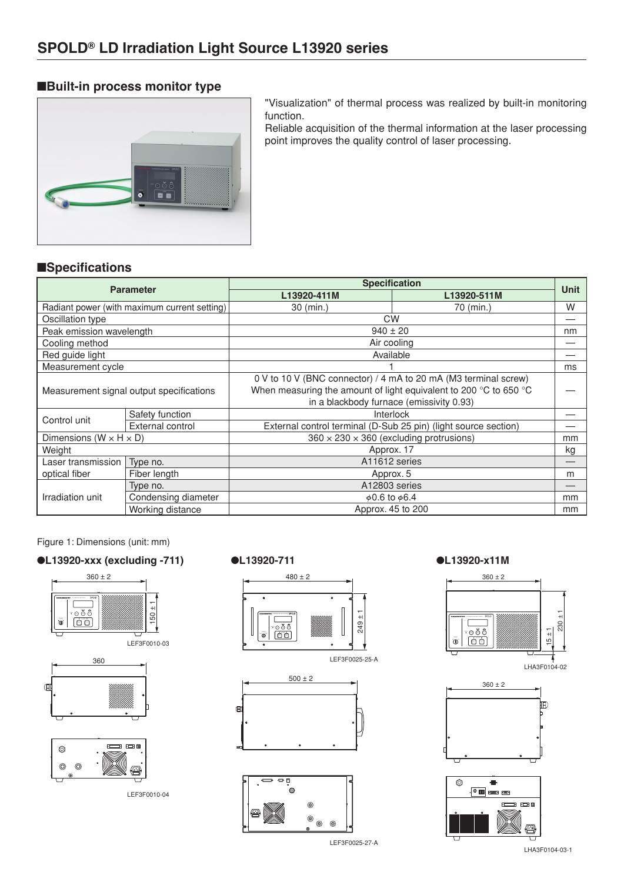# ■**Built-in process monitor type**



"Visualization" of thermal process was realized by built-in monitoring function.

Reliable acquisition of the thermal information at the laser processing point improves the quality control of laser processing.

# ■**Specifications**

| <b>Parameter</b>                         |                                              | <b>Specification</b>                                              |             |             |  |
|------------------------------------------|----------------------------------------------|-------------------------------------------------------------------|-------------|-------------|--|
|                                          |                                              | L13920-411M                                                       | L13920-511M | <b>Unit</b> |  |
|                                          | Radiant power (with maximum current setting) | $30 \ (min.)$                                                     | 70 (min.)   | W           |  |
| Oscillation type                         |                                              | <b>CW</b>                                                         |             |             |  |
| Peak emission wavelength                 |                                              | $940 \pm 20$                                                      |             | nm          |  |
| Cooling method                           |                                              | Air cooling                                                       |             |             |  |
| Red guide light                          |                                              | Available                                                         |             |             |  |
| Measurement cycle                        |                                              |                                                                   |             | ms          |  |
| Measurement signal output specifications |                                              | 0 V to 10 V (BNC connector) / 4 mA to 20 mA (M3 terminal screw)   |             |             |  |
|                                          |                                              | When measuring the amount of light equivalent to 200 °C to 650 °C |             |             |  |
|                                          |                                              | in a blackbody furnace (emissivity 0.93)                          |             |             |  |
| Control unit                             | Safety function                              | Interlock                                                         |             |             |  |
|                                          | External control                             | External control terminal (D-Sub 25 pin) (light source section)   |             |             |  |
| Dimensions ( $W \times H \times D$ )     |                                              | $360 \times 230 \times 360$ (excluding protrusions)               |             | mm          |  |
| Weight                                   |                                              | Approx. 17                                                        |             | kg          |  |
| Laser transmission                       | A11612 series<br>Type no.                    |                                                                   |             |             |  |
| optical fiber                            | Fiber length                                 | Approx. 5                                                         |             | m           |  |
| Irradiation unit                         | Type no.                                     | A12803 series                                                     |             |             |  |
|                                          | Condensing diameter                          | $\phi$ 0.6 to $\phi$ 6.4                                          |             | mm          |  |
|                                          | Working distance                             | Approx. 45 to 200                                                 |             | mm          |  |

Figure 1: Dimensions (unit: mm)

# ●**L13920-xxx (excluding -711)** ●**L13920-711** ●**L13920-x11M**



LEF3F0010-04





⊚ ෧ ⊚

LEF3F0025-27-A







LHA3F0104-03-1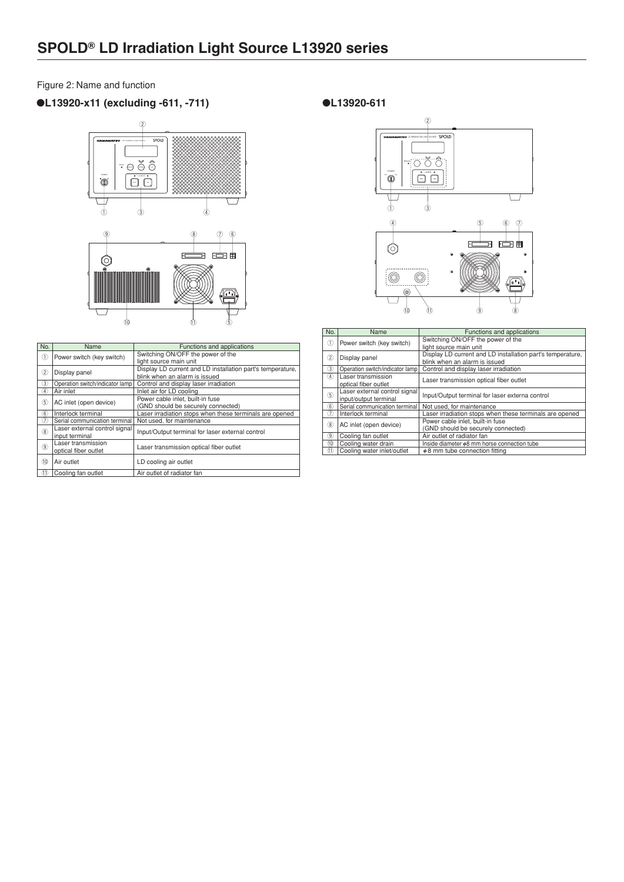### Figure 2: Name and function

# ●**L13920-x11 (excluding -611, -711)**



| No.            | Name                                            | Functions and applications                                 |
|----------------|-------------------------------------------------|------------------------------------------------------------|
| ①              | Power switch (key switch)                       | Switching ON/OFF the power of the                          |
|                |                                                 | light source main unit                                     |
| $\circled{2}$  | Display panel                                   | Display LD current and LD installation part's temperature, |
|                |                                                 | blink when an alarm is issued                              |
| 3)             | Operation switch/indicator lamp                 | Control and display laser irradiation                      |
| A)             | Air inlet                                       | Inlet air for LD cooling                                   |
| 5              | AC inlet (open device)                          | Power cable inlet, built-in fuse                           |
|                |                                                 | (GND should be securely connected)                         |
| 6              | Interlock terminal                              | Laser irradiation stops when these terminals are opened    |
| T              | Serial communication terminal                   | Not used, for maintenance                                  |
| $\circledR$    | Laser external control signal<br>input terminal | Input/Output terminal for laser external control           |
| $\circledcirc$ | Laser transmission<br>optical fiber outlet      | Laser transmission optical fiber outlet                    |
|                |                                                 |                                                            |
| (10)           | Air outlet                                      | LD cooling air outlet                                      |
| AD.            | Cooling for public                              | A is a subject of soldinates from                          |

 $^{\tiny{\textregistered}}$ Cooling fan outle  $\vert$  Air outlet of radia

### ●**L13920-611**



| No.                            | Name                            | Functions and applications                                 |
|--------------------------------|---------------------------------|------------------------------------------------------------|
| $\textcircled{\scriptsize{1}}$ | Power switch (key switch)       | Switching ON/OFF the power of the                          |
|                                |                                 | light source main unit                                     |
| $\circled{2}$                  | Display panel                   | Display LD current and LD installation part's temperature, |
|                                |                                 | blink when an alarm is issued                              |
| 3)                             | Operation switch/indicator lamp | Control and display laser irradiation                      |
| 4)                             | Laser transmission              | Laser transmission optical fiber outlet                    |
|                                | optical fiber outlet            |                                                            |
| (5)                            | Laser external control signal   | Input/Output terminal for laser externa control            |
|                                | input/output terminal           |                                                            |
| $\circledast$                  | Serial communication terminal   | Not used, for maintenance                                  |
| $\circled7$                    | Interlock terminal              | Laser irradiation stops when these terminals are opened    |
| $\circledR$                    | AC inlet (open device)          | Power cable inlet, built-in fuse                           |
|                                |                                 | (GND should be securely connected)                         |
| 9)                             | Cooling fan outlet              | Air outlet of radiator fan                                 |
| (1)                            | Cooling water drain             | Inside diameter $\phi$ 8 mm horse connection tube          |
| (11)                           | Cooling water inlet/outlet      | $\phi$ 8 mm tube connection fitting                        |